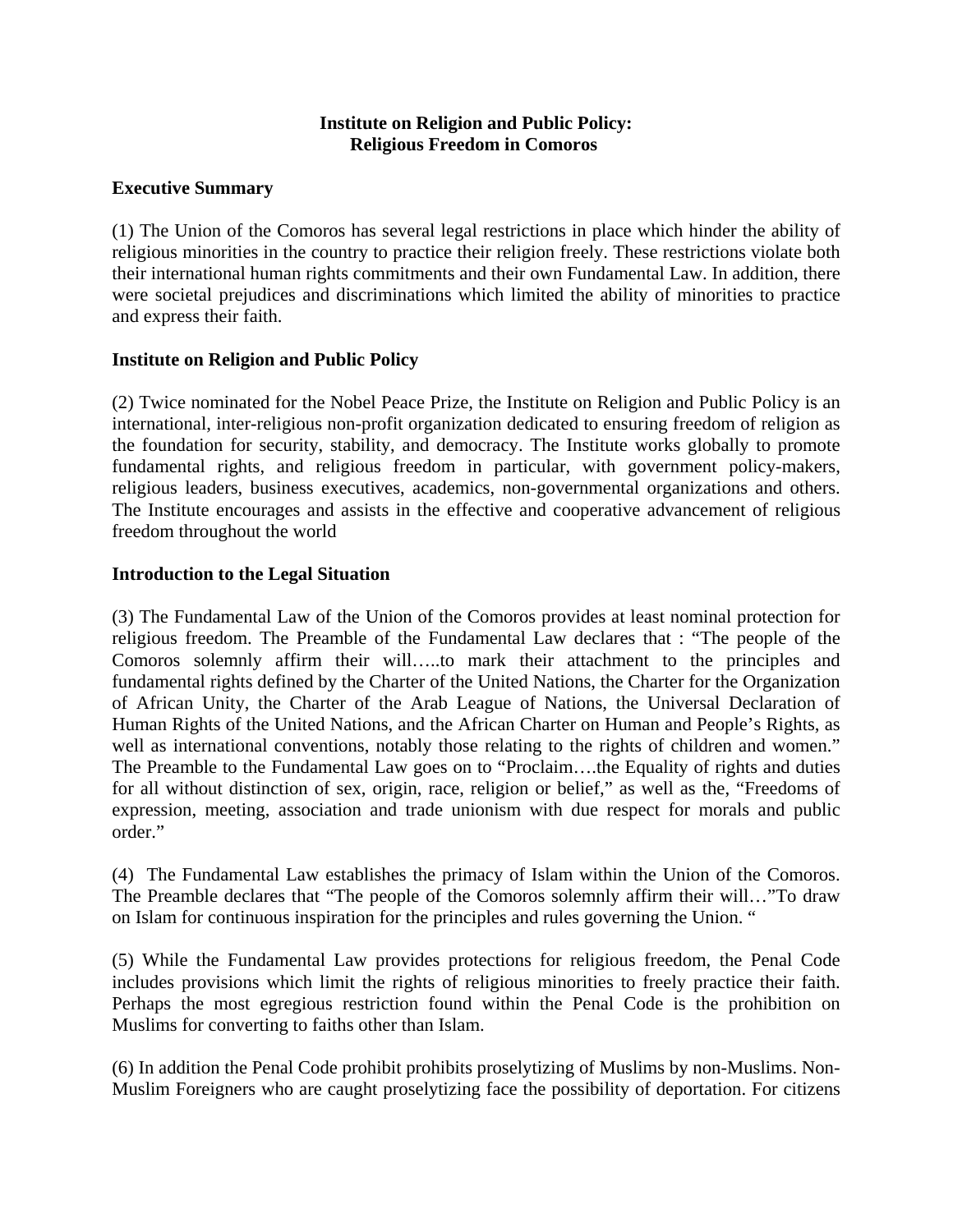## **Institute on Religion and Public Policy: Religious Freedom in Comoros**

## **Executive Summary**

(1) The Union of the Comoros has several legal restrictions in place which hinder the ability of religious minorities in the country to practice their religion freely. These restrictions violate both their international human rights commitments and their own Fundamental Law. In addition, there were societal prejudices and discriminations which limited the ability of minorities to practice and express their faith.

## **Institute on Religion and Public Policy**

(2) Twice nominated for the Nobel Peace Prize, the Institute on Religion and Public Policy is an international, inter-religious non-profit organization dedicated to ensuring freedom of religion as the foundation for security, stability, and democracy. The Institute works globally to promote fundamental rights, and religious freedom in particular, with government policy-makers, religious leaders, business executives, academics, non-governmental organizations and others. The Institute encourages and assists in the effective and cooperative advancement of religious freedom throughout the world

## **Introduction to the Legal Situation**

(3) The Fundamental Law of the Union of the Comoros provides at least nominal protection for religious freedom. The Preamble of the Fundamental Law declares that : "The people of the Comoros solemnly affirm their will…..to mark their attachment to the principles and fundamental rights defined by the Charter of the United Nations, the Charter for the Organization of African Unity, the Charter of the Arab League of Nations, the Universal Declaration of Human Rights of the United Nations, and the African Charter on Human and People's Rights, as well as international conventions, notably those relating to the rights of children and women." The Preamble to the Fundamental Law goes on to "Proclaim….the Equality of rights and duties for all without distinction of sex, origin, race, religion or belief," as well as the, "Freedoms of expression, meeting, association and trade unionism with due respect for morals and public order."

(4) The Fundamental Law establishes the primacy of Islam within the Union of the Comoros. The Preamble declares that "The people of the Comoros solemnly affirm their will…"To draw on Islam for continuous inspiration for the principles and rules governing the Union. "

(5) While the Fundamental Law provides protections for religious freedom, the Penal Code includes provisions which limit the rights of religious minorities to freely practice their faith. Perhaps the most egregious restriction found within the Penal Code is the prohibition on Muslims for converting to faiths other than Islam.

(6) In addition the Penal Code prohibit prohibits proselytizing of Muslims by non-Muslims. Non-Muslim Foreigners who are caught proselytizing face the possibility of deportation. For citizens